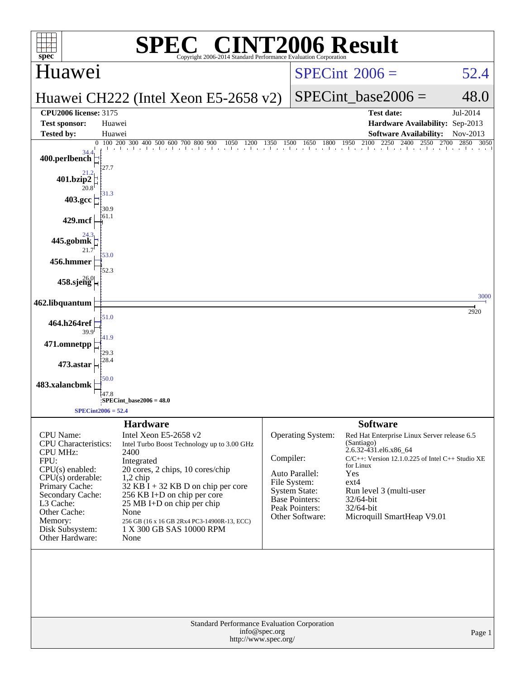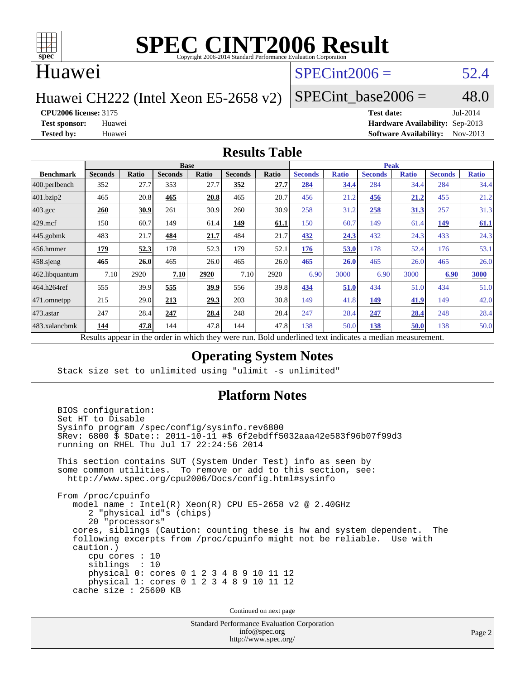

### Huawei

# $SPECint2006 = 52.4$  $SPECint2006 = 52.4$

Huawei CH222 (Intel Xeon E5-2658 v2)

SPECint base2006 =  $48.0$ 

**[CPU2006 license:](http://www.spec.org/auto/cpu2006/Docs/result-fields.html#CPU2006license)** 3175 **[Test date:](http://www.spec.org/auto/cpu2006/Docs/result-fields.html#Testdate)** Jul-2014

**[Test sponsor:](http://www.spec.org/auto/cpu2006/Docs/result-fields.html#Testsponsor)** Huawei **[Hardware Availability:](http://www.spec.org/auto/cpu2006/Docs/result-fields.html#HardwareAvailability)** Sep-2013 **[Tested by:](http://www.spec.org/auto/cpu2006/Docs/result-fields.html#Testedby)** Huawei **[Software Availability:](http://www.spec.org/auto/cpu2006/Docs/result-fields.html#SoftwareAvailability)** Nov-2013

#### **[Results Table](http://www.spec.org/auto/cpu2006/Docs/result-fields.html#ResultsTable)**

|                                                                                                        | <b>Base</b>    |              |                |       |                | <b>Peak</b> |                |              |                |              |                |              |
|--------------------------------------------------------------------------------------------------------|----------------|--------------|----------------|-------|----------------|-------------|----------------|--------------|----------------|--------------|----------------|--------------|
| <b>Benchmark</b>                                                                                       | <b>Seconds</b> | <b>Ratio</b> | <b>Seconds</b> | Ratio | <b>Seconds</b> | Ratio       | <b>Seconds</b> | <b>Ratio</b> | <b>Seconds</b> | <b>Ratio</b> | <b>Seconds</b> | <b>Ratio</b> |
| $ 400.\text{perlbench}$                                                                                | 352            | 27.7         | 353            | 27.7  | 352            | 27.7        | 284            | 34.4         | 284            | 34.4         | 284            | 34.4         |
| 401.bzip2                                                                                              | 465            | 20.8         | 465            | 20.8  | 465            | 20.7        | 456            | 21.2         | 456            | 21.2         | 455            | 21.2         |
| $403.\mathrm{gcc}$                                                                                     | 260            | 30.9         | 261            | 30.9  | 260            | 30.9        | 258            | 31.2         | 258            | 31.3         | 257            | 31.3         |
| $429$ .mcf                                                                                             | 150            | 60.7         | 149            | 61.4  | 149            | 61.1        | 150            | 60.7         | 149            | 61.4         | 149            | 61.1         |
| $445$ .gobmk                                                                                           | 483            | 21.7         | 484            | 21.7  | 484            | 21.7        | 432            | 24.3         | 432            | 24.3         | 433            | 24.3         |
| $456.$ hmmer                                                                                           | 179            | 52.3         | 178            | 52.3  | 179            | 52.1        | 176            | 53.0         | 178            | 52.4         | 176            | 53.1         |
| 458.sjeng                                                                                              | 465            | 26.0         | 465            | 26.0  | 465            | 26.0        | 465            | 26.0         | 465            | 26.0         | 465            | 26.0         |
| 462.libquantum                                                                                         | 7.10           | 2920         | 7.10           | 2920  | 7.10           | 2920        | 6.90           | 3000         | 6.90           | 3000         | 6.90           | 3000         |
| 464.h264ref                                                                                            | 555            | 39.9         | 555            | 39.9  | 556            | 39.8        | 434            | 51.0         | 434            | 51.0         | 434            | 51.0         |
| 471.omnetpp                                                                                            | 215            | 29.0         | 213            | 29.3  | 203            | 30.8        | 149            | 41.8         | 149            | 41.9         | 149            | 42.0         |
| $ 473$ . astar                                                                                         | 247            | 28.4         | 247            | 28.4  | 248            | 28.4        | 247            | 28.4         | 247            | 28.4         | 248            | 28.4         |
| 483.xalancbmk                                                                                          | 144            | 47.8         | 144            | 47.8  | 144            | 47.8        | 138            | 50.0         | 138            | 50.0         | 138            | 50.0         |
| Decute enneau in the order in which thay were mu. Dold underlined text indicates a modian magazurement |                |              |                |       |                |             |                |              |                |              |                |              |

Results appear in the [order in which they were run.](http://www.spec.org/auto/cpu2006/Docs/result-fields.html#RunOrder) Bold underlined text [indicates a median measurement.](http://www.spec.org/auto/cpu2006/Docs/result-fields.html#Median)

### **[Operating System Notes](http://www.spec.org/auto/cpu2006/Docs/result-fields.html#OperatingSystemNotes)**

Stack size set to unlimited using "ulimit -s unlimited"

### **[Platform Notes](http://www.spec.org/auto/cpu2006/Docs/result-fields.html#PlatformNotes)**

 BIOS configuration: Set HT to Disable Sysinfo program /spec/config/sysinfo.rev6800 \$Rev: 6800 \$ \$Date:: 2011-10-11 #\$ 6f2ebdff5032aaa42e583f96b07f99d3 running on RHEL Thu Jul 17 22:24:56 2014 This section contains SUT (System Under Test) info as seen by some common utilities. To remove or add to this section, see: <http://www.spec.org/cpu2006/Docs/config.html#sysinfo> From /proc/cpuinfo model name : Intel(R) Xeon(R) CPU E5-2658 v2 @ 2.40GHz 2 "physical id"s (chips) 20 "processors" cores, siblings (Caution: counting these is hw and system dependent. The following excerpts from /proc/cpuinfo might not be reliable. Use with caution.) cpu cores : 10 siblings : 10 physical 0: cores 0 1 2 3 4 8 9 10 11 12 physical 1: cores 0 1 2 3 4 8 9 10 11 12 cache size : 25600 KB

Continued on next page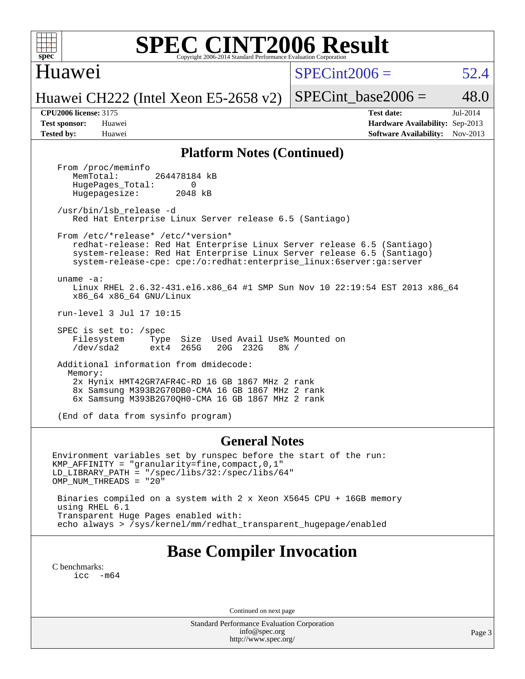Huawei

 $SPECint2006 = 52.4$  $SPECint2006 = 52.4$ 

Huawei CH222 (Intel Xeon E5-2658 v2)

SPECint base2006 =  $48.0$ 

**[CPU2006 license:](http://www.spec.org/auto/cpu2006/Docs/result-fields.html#CPU2006license)** 3175 **[Test date:](http://www.spec.org/auto/cpu2006/Docs/result-fields.html#Testdate)** Jul-2014 **[Test sponsor:](http://www.spec.org/auto/cpu2006/Docs/result-fields.html#Testsponsor)** Huawei **[Hardware Availability:](http://www.spec.org/auto/cpu2006/Docs/result-fields.html#HardwareAvailability)** Sep-2013 **[Tested by:](http://www.spec.org/auto/cpu2006/Docs/result-fields.html#Testedby)** Huawei **[Software Availability:](http://www.spec.org/auto/cpu2006/Docs/result-fields.html#SoftwareAvailability)** Nov-2013

#### **[Platform Notes \(Continued\)](http://www.spec.org/auto/cpu2006/Docs/result-fields.html#PlatformNotes)**

From /proc/meminfo<br>MemTotal: 264478184 kB HugePages\_Total: 0<br>Hugepagesize: 2048 kB Hugepagesize:

 /usr/bin/lsb\_release -d Red Hat Enterprise Linux Server release 6.5 (Santiago)

From /etc/\*release\* /etc/\*version\*

 redhat-release: Red Hat Enterprise Linux Server release 6.5 (Santiago) system-release: Red Hat Enterprise Linux Server release 6.5 (Santiago) system-release-cpe: cpe:/o:redhat:enterprise\_linux:6server:ga:server

uname -a:

 Linux RHEL 2.6.32-431.el6.x86\_64 #1 SMP Sun Nov 10 22:19:54 EST 2013 x86\_64 x86\_64 x86\_64 GNU/Linux

run-level 3 Jul 17 10:15

 SPEC is set to: /spec Filesystem Type Size Used Avail Use% Mounted on /dev/sda2 ext4 265G 20G 232G 8% /

 Additional information from dmidecode: Memory: 2x Hynix HMT42GR7AFR4C-RD 16 GB 1867 MHz 2 rank 8x Samsung M393B2G70DB0-CMA 16 GB 1867 MHz 2 rank 6x Samsung M393B2G70QH0-CMA 16 GB 1867 MHz 2 rank

(End of data from sysinfo program)

#### **[General Notes](http://www.spec.org/auto/cpu2006/Docs/result-fields.html#GeneralNotes)**

Environment variables set by runspec before the start of the run: KMP\_AFFINITY = "granularity=fine,compact,0,1" LD\_LIBRARY\_PATH = "/spec/libs/32:/spec/libs/64" OMP\_NUM\_THREADS = "20" Binaries compiled on a system with 2 x Xeon X5645 CPU + 16GB memory

 using RHEL 6.1 Transparent Huge Pages enabled with: echo always > /sys/kernel/mm/redhat\_transparent\_hugepage/enabled

# **[Base Compiler Invocation](http://www.spec.org/auto/cpu2006/Docs/result-fields.html#BaseCompilerInvocation)**

[C benchmarks](http://www.spec.org/auto/cpu2006/Docs/result-fields.html#Cbenchmarks): [icc -m64](http://www.spec.org/cpu2006/results/res2014q3/cpu2006-20140804-30738.flags.html#user_CCbase_intel_icc_64bit_f346026e86af2a669e726fe758c88044)

Continued on next page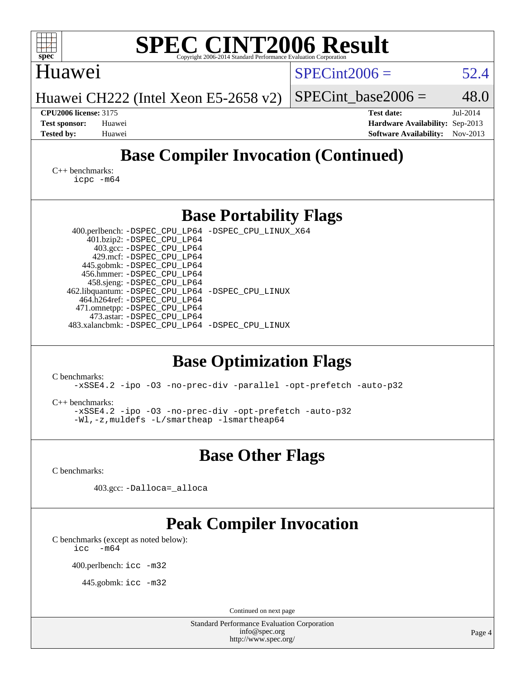| <b>SPEC CINT2006 Result</b><br>$spec^*$<br>Copyright 2006-2014 Standard Performance Evaluation Corporation                                                                                                                                                                                                                                                                                                                                |                                                                                       |                      |
|-------------------------------------------------------------------------------------------------------------------------------------------------------------------------------------------------------------------------------------------------------------------------------------------------------------------------------------------------------------------------------------------------------------------------------------------|---------------------------------------------------------------------------------------|----------------------|
| Huawei                                                                                                                                                                                                                                                                                                                                                                                                                                    | $SPECint2006 =$                                                                       | 52.4                 |
| Huawei CH222 (Intel Xeon E5-2658 v2)                                                                                                                                                                                                                                                                                                                                                                                                      | $SPECint\_base2006 =$                                                                 | 48.0                 |
| <b>CPU2006 license: 3175</b><br><b>Test sponsor:</b><br>Huawei<br><b>Tested by:</b><br>Huawei                                                                                                                                                                                                                                                                                                                                             | <b>Test date:</b><br>Hardware Availability: Sep-2013<br><b>Software Availability:</b> | Jul-2014<br>Nov-2013 |
| <b>Base Compiler Invocation (Continued)</b>                                                                                                                                                                                                                                                                                                                                                                                               |                                                                                       |                      |
| $C_{++}$ benchmarks:<br>$icpc$ $-m64$                                                                                                                                                                                                                                                                                                                                                                                                     |                                                                                       |                      |
| <b>Base Portability Flags</b>                                                                                                                                                                                                                                                                                                                                                                                                             |                                                                                       |                      |
| 400.perlbench: -DSPEC_CPU_LP64 -DSPEC_CPU_LINUX_X64<br>401.bzip2: -DSPEC_CPU_LP64<br>403.gcc: -DSPEC_CPU_LP64<br>429.mcf: -DSPEC_CPU_LP64<br>445.gobmk: -DSPEC_CPU_LP64<br>456.hmmer: - DSPEC_CPU_LP64<br>458.sjeng: -DSPEC_CPU_LP64<br>462.libquantum: -DSPEC_CPU_LP64 -DSPEC_CPU_LINUX<br>464.h264ref: -DSPEC_CPU_LP64<br>471.omnetpp: -DSPEC_CPU_LP64<br>473.astar: -DSPEC_CPU_LP64<br>483.xalancbmk: -DSPEC_CPU_LP64 -DSPEC_CPU_LINUX |                                                                                       |                      |
| <b>Base Optimization Flags</b><br>C benchmarks:<br>-xSSE4.2 -ipo -03 -no-prec-div -parallel -opt-prefetch -auto-p32<br>$C_{++}$ benchmarks:<br>-xSSE4.2 -ipo -03 -no-prec-div -opt-prefetch -auto-p32<br>-Wl,-z,muldets -L/smartheap -Ismartheap64                                                                                                                                                                                        |                                                                                       |                      |
| <b>Base Other Flags</b>                                                                                                                                                                                                                                                                                                                                                                                                                   |                                                                                       |                      |
| C benchmarks:<br>403.gcc: -Dalloca=_alloca                                                                                                                                                                                                                                                                                                                                                                                                |                                                                                       |                      |
| <b>Peak Compiler Invocation</b><br>C benchmarks (except as noted below):<br>icc<br>$-m64$<br>400.perlbench: icc -m32<br>445.gobmk: $\text{icc}$ -m32                                                                                                                                                                                                                                                                                      |                                                                                       |                      |
| Continued on next page<br><b>Standard Performance Evaluation Corporation</b>                                                                                                                                                                                                                                                                                                                                                              |                                                                                       |                      |
| info@spec.org<br>http://www.spec.org/                                                                                                                                                                                                                                                                                                                                                                                                     |                                                                                       | Page 4               |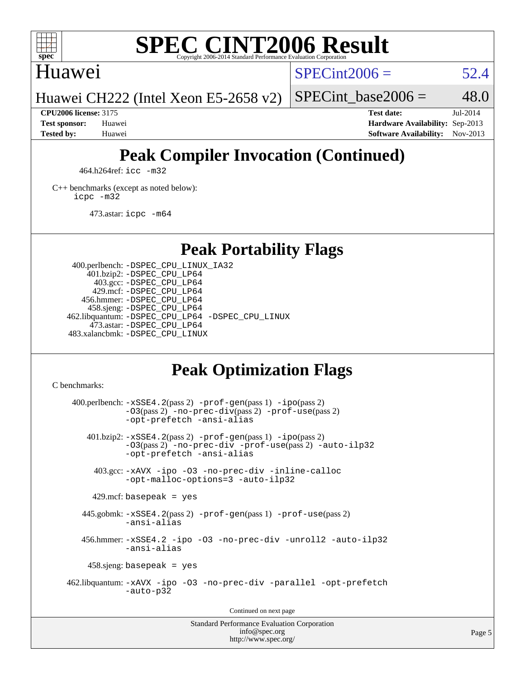

### Huawei

 $SPECint2006 = 52.4$  $SPECint2006 = 52.4$ 

Huawei CH222 (Intel Xeon E5-2658 v2)

**[Tested by:](http://www.spec.org/auto/cpu2006/Docs/result-fields.html#Testedby)** Huawei **[Software Availability:](http://www.spec.org/auto/cpu2006/Docs/result-fields.html#SoftwareAvailability)** Nov-2013

**[CPU2006 license:](http://www.spec.org/auto/cpu2006/Docs/result-fields.html#CPU2006license)** 3175 **[Test date:](http://www.spec.org/auto/cpu2006/Docs/result-fields.html#Testdate)** Jul-2014 **[Test sponsor:](http://www.spec.org/auto/cpu2006/Docs/result-fields.html#Testsponsor)** Huawei **[Hardware Availability:](http://www.spec.org/auto/cpu2006/Docs/result-fields.html#HardwareAvailability)** Sep-2013

SPECint base2006 =  $48.0$ 

# **[Peak Compiler Invocation \(Continued\)](http://www.spec.org/auto/cpu2006/Docs/result-fields.html#PeakCompilerInvocation)**

464.h264ref: [icc -m32](http://www.spec.org/cpu2006/results/res2014q3/cpu2006-20140804-30738.flags.html#user_peakCCLD464_h264ref_intel_icc_a6a621f8d50482236b970c6ac5f55f93)

[C++ benchmarks \(except as noted below\):](http://www.spec.org/auto/cpu2006/Docs/result-fields.html#CXXbenchmarksexceptasnotedbelow) [icpc -m32](http://www.spec.org/cpu2006/results/res2014q3/cpu2006-20140804-30738.flags.html#user_CXXpeak_intel_icpc_4e5a5ef1a53fd332b3c49e69c3330699)

473.astar: [icpc -m64](http://www.spec.org/cpu2006/results/res2014q3/cpu2006-20140804-30738.flags.html#user_peakCXXLD473_astar_intel_icpc_64bit_fc66a5337ce925472a5c54ad6a0de310)

## **[Peak Portability Flags](http://www.spec.org/auto/cpu2006/Docs/result-fields.html#PeakPortabilityFlags)**

 400.perlbench: [-DSPEC\\_CPU\\_LINUX\\_IA32](http://www.spec.org/cpu2006/results/res2014q3/cpu2006-20140804-30738.flags.html#b400.perlbench_peakCPORTABILITY_DSPEC_CPU_LINUX_IA32) 401.bzip2: [-DSPEC\\_CPU\\_LP64](http://www.spec.org/cpu2006/results/res2014q3/cpu2006-20140804-30738.flags.html#suite_peakPORTABILITY401_bzip2_DSPEC_CPU_LP64) 403.gcc: [-DSPEC\\_CPU\\_LP64](http://www.spec.org/cpu2006/results/res2014q3/cpu2006-20140804-30738.flags.html#suite_peakPORTABILITY403_gcc_DSPEC_CPU_LP64) 429.mcf: [-DSPEC\\_CPU\\_LP64](http://www.spec.org/cpu2006/results/res2014q3/cpu2006-20140804-30738.flags.html#suite_peakPORTABILITY429_mcf_DSPEC_CPU_LP64) 456.hmmer: [-DSPEC\\_CPU\\_LP64](http://www.spec.org/cpu2006/results/res2014q3/cpu2006-20140804-30738.flags.html#suite_peakPORTABILITY456_hmmer_DSPEC_CPU_LP64) 458.sjeng: [-DSPEC\\_CPU\\_LP64](http://www.spec.org/cpu2006/results/res2014q3/cpu2006-20140804-30738.flags.html#suite_peakPORTABILITY458_sjeng_DSPEC_CPU_LP64) 462.libquantum: [-DSPEC\\_CPU\\_LP64](http://www.spec.org/cpu2006/results/res2014q3/cpu2006-20140804-30738.flags.html#suite_peakPORTABILITY462_libquantum_DSPEC_CPU_LP64) [-DSPEC\\_CPU\\_LINUX](http://www.spec.org/cpu2006/results/res2014q3/cpu2006-20140804-30738.flags.html#b462.libquantum_peakCPORTABILITY_DSPEC_CPU_LINUX) 473.astar: [-DSPEC\\_CPU\\_LP64](http://www.spec.org/cpu2006/results/res2014q3/cpu2006-20140804-30738.flags.html#suite_peakPORTABILITY473_astar_DSPEC_CPU_LP64) 483.xalancbmk: [-DSPEC\\_CPU\\_LINUX](http://www.spec.org/cpu2006/results/res2014q3/cpu2006-20140804-30738.flags.html#b483.xalancbmk_peakCXXPORTABILITY_DSPEC_CPU_LINUX)

# **[Peak Optimization Flags](http://www.spec.org/auto/cpu2006/Docs/result-fields.html#PeakOptimizationFlags)**

[C benchmarks](http://www.spec.org/auto/cpu2006/Docs/result-fields.html#Cbenchmarks):

 $400.$ perlbench:  $-xSSE4$ .  $2(pass 2)$  -prof-qen(pass 1) [-ipo](http://www.spec.org/cpu2006/results/res2014q3/cpu2006-20140804-30738.flags.html#user_peakPASS2_CFLAGSPASS2_LDCFLAGS400_perlbench_f-ipo)(pass 2) [-O3](http://www.spec.org/cpu2006/results/res2014q3/cpu2006-20140804-30738.flags.html#user_peakPASS2_CFLAGSPASS2_LDCFLAGS400_perlbench_f-O3)(pass 2) [-no-prec-div](http://www.spec.org/cpu2006/results/res2014q3/cpu2006-20140804-30738.flags.html#user_peakPASS2_CFLAGSPASS2_LDCFLAGS400_perlbench_f-no-prec-div)(pass 2) [-prof-use](http://www.spec.org/cpu2006/results/res2014q3/cpu2006-20140804-30738.flags.html#user_peakPASS2_CFLAGSPASS2_LDCFLAGS400_perlbench_prof_use_bccf7792157ff70d64e32fe3e1250b55)(pass 2) [-opt-prefetch](http://www.spec.org/cpu2006/results/res2014q3/cpu2006-20140804-30738.flags.html#user_peakCOPTIMIZE400_perlbench_f-opt-prefetch) [-ansi-alias](http://www.spec.org/cpu2006/results/res2014q3/cpu2006-20140804-30738.flags.html#user_peakCOPTIMIZE400_perlbench_f-ansi-alias) 401.bzip2: [-xSSE4.2](http://www.spec.org/cpu2006/results/res2014q3/cpu2006-20140804-30738.flags.html#user_peakPASS2_CFLAGSPASS2_LDCFLAGS401_bzip2_f-xSSE42_f91528193cf0b216347adb8b939d4107)(pass 2) [-prof-gen](http://www.spec.org/cpu2006/results/res2014q3/cpu2006-20140804-30738.flags.html#user_peakPASS1_CFLAGSPASS1_LDCFLAGS401_bzip2_prof_gen_e43856698f6ca7b7e442dfd80e94a8fc)(pass 1) [-ipo](http://www.spec.org/cpu2006/results/res2014q3/cpu2006-20140804-30738.flags.html#user_peakPASS2_CFLAGSPASS2_LDCFLAGS401_bzip2_f-ipo)(pass 2) [-O3](http://www.spec.org/cpu2006/results/res2014q3/cpu2006-20140804-30738.flags.html#user_peakPASS2_CFLAGSPASS2_LDCFLAGS401_bzip2_f-O3)(pass 2) [-no-prec-div](http://www.spec.org/cpu2006/results/res2014q3/cpu2006-20140804-30738.flags.html#user_peakCOPTIMIZEPASS2_CFLAGSPASS2_LDCFLAGS401_bzip2_f-no-prec-div) [-prof-use](http://www.spec.org/cpu2006/results/res2014q3/cpu2006-20140804-30738.flags.html#user_peakPASS2_CFLAGSPASS2_LDCFLAGS401_bzip2_prof_use_bccf7792157ff70d64e32fe3e1250b55)(pass 2) [-auto-ilp32](http://www.spec.org/cpu2006/results/res2014q3/cpu2006-20140804-30738.flags.html#user_peakCOPTIMIZE401_bzip2_f-auto-ilp32) [-opt-prefetch](http://www.spec.org/cpu2006/results/res2014q3/cpu2006-20140804-30738.flags.html#user_peakCOPTIMIZE401_bzip2_f-opt-prefetch) [-ansi-alias](http://www.spec.org/cpu2006/results/res2014q3/cpu2006-20140804-30738.flags.html#user_peakCOPTIMIZE401_bzip2_f-ansi-alias) 403.gcc: [-xAVX](http://www.spec.org/cpu2006/results/res2014q3/cpu2006-20140804-30738.flags.html#user_peakCOPTIMIZE403_gcc_f-xAVX) [-ipo](http://www.spec.org/cpu2006/results/res2014q3/cpu2006-20140804-30738.flags.html#user_peakCOPTIMIZE403_gcc_f-ipo) [-O3](http://www.spec.org/cpu2006/results/res2014q3/cpu2006-20140804-30738.flags.html#user_peakCOPTIMIZE403_gcc_f-O3) [-no-prec-div](http://www.spec.org/cpu2006/results/res2014q3/cpu2006-20140804-30738.flags.html#user_peakCOPTIMIZE403_gcc_f-no-prec-div) [-inline-calloc](http://www.spec.org/cpu2006/results/res2014q3/cpu2006-20140804-30738.flags.html#user_peakCOPTIMIZE403_gcc_f-inline-calloc) [-opt-malloc-options=3](http://www.spec.org/cpu2006/results/res2014q3/cpu2006-20140804-30738.flags.html#user_peakCOPTIMIZE403_gcc_f-opt-malloc-options_13ab9b803cf986b4ee62f0a5998c2238) [-auto-ilp32](http://www.spec.org/cpu2006/results/res2014q3/cpu2006-20140804-30738.flags.html#user_peakCOPTIMIZE403_gcc_f-auto-ilp32)  $429$ .mcf: basepeak = yes 445.gobmk: [-xSSE4.2](http://www.spec.org/cpu2006/results/res2014q3/cpu2006-20140804-30738.flags.html#user_peakPASS2_CFLAGSPASS2_LDCFLAGS445_gobmk_f-xSSE42_f91528193cf0b216347adb8b939d4107)(pass 2) [-prof-gen](http://www.spec.org/cpu2006/results/res2014q3/cpu2006-20140804-30738.flags.html#user_peakPASS1_CFLAGSPASS1_LDCFLAGS445_gobmk_prof_gen_e43856698f6ca7b7e442dfd80e94a8fc)(pass 1) [-prof-use](http://www.spec.org/cpu2006/results/res2014q3/cpu2006-20140804-30738.flags.html#user_peakPASS2_CFLAGSPASS2_LDCFLAGS445_gobmk_prof_use_bccf7792157ff70d64e32fe3e1250b55)(pass 2) [-ansi-alias](http://www.spec.org/cpu2006/results/res2014q3/cpu2006-20140804-30738.flags.html#user_peakCOPTIMIZE445_gobmk_f-ansi-alias) 456.hmmer: [-xSSE4.2](http://www.spec.org/cpu2006/results/res2014q3/cpu2006-20140804-30738.flags.html#user_peakCOPTIMIZE456_hmmer_f-xSSE42_f91528193cf0b216347adb8b939d4107) [-ipo](http://www.spec.org/cpu2006/results/res2014q3/cpu2006-20140804-30738.flags.html#user_peakCOPTIMIZE456_hmmer_f-ipo) [-O3](http://www.spec.org/cpu2006/results/res2014q3/cpu2006-20140804-30738.flags.html#user_peakCOPTIMIZE456_hmmer_f-O3) [-no-prec-div](http://www.spec.org/cpu2006/results/res2014q3/cpu2006-20140804-30738.flags.html#user_peakCOPTIMIZE456_hmmer_f-no-prec-div) [-unroll2](http://www.spec.org/cpu2006/results/res2014q3/cpu2006-20140804-30738.flags.html#user_peakCOPTIMIZE456_hmmer_f-unroll_784dae83bebfb236979b41d2422d7ec2) [-auto-ilp32](http://www.spec.org/cpu2006/results/res2014q3/cpu2006-20140804-30738.flags.html#user_peakCOPTIMIZE456_hmmer_f-auto-ilp32) [-ansi-alias](http://www.spec.org/cpu2006/results/res2014q3/cpu2006-20140804-30738.flags.html#user_peakCOPTIMIZE456_hmmer_f-ansi-alias) 458.sjeng: basepeak = yes 462.libquantum: [-xAVX](http://www.spec.org/cpu2006/results/res2014q3/cpu2006-20140804-30738.flags.html#user_peakCOPTIMIZE462_libquantum_f-xAVX) [-ipo](http://www.spec.org/cpu2006/results/res2014q3/cpu2006-20140804-30738.flags.html#user_peakCOPTIMIZE462_libquantum_f-ipo) [-O3](http://www.spec.org/cpu2006/results/res2014q3/cpu2006-20140804-30738.flags.html#user_peakCOPTIMIZE462_libquantum_f-O3) [-no-prec-div](http://www.spec.org/cpu2006/results/res2014q3/cpu2006-20140804-30738.flags.html#user_peakCOPTIMIZE462_libquantum_f-no-prec-div) [-parallel](http://www.spec.org/cpu2006/results/res2014q3/cpu2006-20140804-30738.flags.html#user_peakCOPTIMIZE462_libquantum_f-parallel) [-opt-prefetch](http://www.spec.org/cpu2006/results/res2014q3/cpu2006-20140804-30738.flags.html#user_peakCOPTIMIZE462_libquantum_f-opt-prefetch) [-auto-p32](http://www.spec.org/cpu2006/results/res2014q3/cpu2006-20140804-30738.flags.html#user_peakCOPTIMIZE462_libquantum_f-auto-p32) Continued on next page